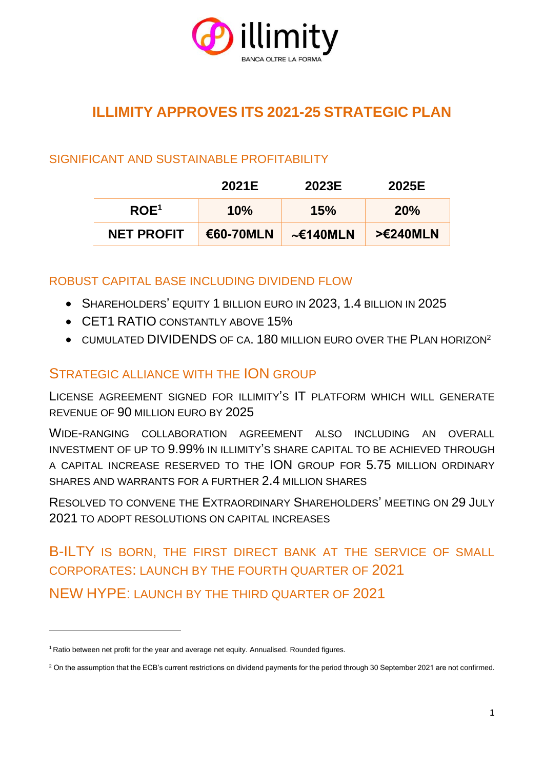

# **ILLIMITY APPROVES ITS 2021-25 STRATEGIC PLAN**

## SIGNIFICANT AND SUSTAINABLE PROFITABILITY

|                   | 2021E     | 2023E          | 2025E               |
|-------------------|-----------|----------------|---------------------|
| ROE <sup>1</sup>  | 10%       | 15%            | 20%                 |
| <b>NET PROFIT</b> | €60-70MLN | $\sim$ E140MLN | $> \epsilon 240MLN$ |

ROBUST CAPITAL BASE INCLUDING DIVIDEND FLOW

- SHAREHOLDERS' EQUITY 1 BILLION EURO IN 2023, 1.4 BILLION IN 2025
- CET1 RATIO CONSTANTLY ABOVE 15%
- CUMULATED DIVIDENDS OF CA. 180 MILLION EURO OVER THE PLAN HORIZON<sup>2</sup>

# STRATEGIC ALLIANCE WITH THE ION GROUP

LICENSE AGREEMENT SIGNED FOR ILLIMITY'S IT PLATFORM WHICH WILL GENERATE REVENUE OF 90 MILLION EURO BY 2025

WIDE-RANGING COLLABORATION AGREEMENT ALSO INCLUDING AN OVERALL INVESTMENT OF UP TO 9.99% IN ILLIMITY'S SHARE CAPITAL TO BE ACHIEVED THROUGH A CAPITAL INCREASE RESERVED TO THE ION GROUP FOR 5.75 MILLION ORDINARY SHARES AND WARRANTS FOR A FURTHER 2.4 MILLION SHARES

RESOLVED TO CONVENE THE EXTRAORDINARY SHAREHOLDERS' MEETING ON 29 JULY 2021 TO ADOPT RESOLUTIONS ON CAPITAL INCREASES

B-ILTY IS BORN, THE FIRST DIRECT BANK AT THE SERVICE OF SMALL CORPORATES: LAUNCH BY THE FOURTH QUARTER OF 2021 NEW HYPE: LAUNCH BY THE THIRD QUARTER OF 2021

<sup>&</sup>lt;sup>1</sup> Ratio between net profit for the year and average net equity. Annualised. Rounded figures.

<sup>&</sup>lt;sup>2</sup> On the assumption that the ECB's current restrictions on dividend payments for the period through 30 September 2021 are not confirmed.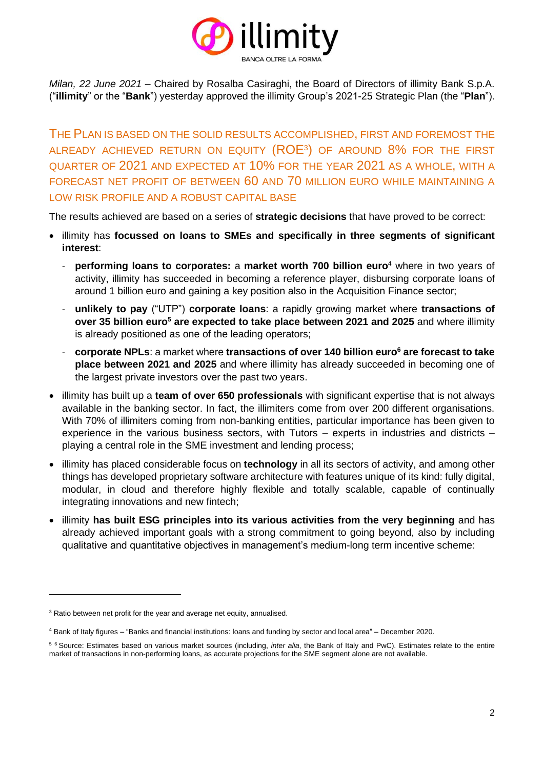

*Milan, 22 June 2021* – Chaired by Rosalba Casiraghi, the Board of Directors of illimity Bank S.p.A. ("**illimity**" or the "**Bank**") yesterday approved the illimity Group's 2021-25 Strategic Plan (the "**Plan**").

THE PLAN IS BASED ON THE SOLID RESULTS ACCOMPLISHED, FIRST AND FOREMOST THE ALREADY ACHIEVED RETURN ON EQUITY  $(\mathsf{ROE^3})$  of around  $8\%$  for the first QUARTER OF 2021 AND EXPECTED AT 10% FOR THE YEAR 2021 AS A WHOLE, WITH A FORECAST NET PROFIT OF BETWEEN 60 AND 70 MILLION EURO WHILE MAINTAINING A LOW RISK PROFILE AND A ROBUST CAPITAL BASE

The results achieved are based on a series of **strategic decisions** that have proved to be correct:

- illimity has **focussed on loans to SMEs and specifically in three segments of significant interest**:
	- **performing loans to corporates:** a **market worth 700 billion euro**<sup>4</sup> where in two years of activity, illimity has succeeded in becoming a reference player, disbursing corporate loans of around 1 billion euro and gaining a key position also in the Acquisition Finance sector;
	- **unlikely to pay** ("UTP") **corporate loans**: a rapidly growing market where **transactions of over 35 billion euro<sup>5</sup> are expected to take place between 2021 and 2025** and where illimity is already positioned as one of the leading operators;
	- **corporate NPLs**: a market where **transactions of over 140 billion euro<sup>6</sup> are forecast to take place between 2021 and 2025** and where illimity has already succeeded in becoming one of the largest private investors over the past two years.
- illimity has built up a **team of over 650 professionals** with significant expertise that is not always available in the banking sector. In fact, the illimiters come from over 200 different organisations. With 70% of illimiters coming from non-banking entities, particular importance has been given to experience in the various business sectors, with Tutors – experts in industries and districts – playing a central role in the SME investment and lending process;
- illimity has placed considerable focus on **technology** in all its sectors of activity, and among other things has developed proprietary software architecture with features unique of its kind: fully digital, modular, in cloud and therefore highly flexible and totally scalable, capable of continually integrating innovations and new fintech;
- illimity **has built ESG principles into its various activities from the very beginning** and has already achieved important goals with a strong commitment to going beyond, also by including qualitative and quantitative objectives in management's medium-long term incentive scheme:

<sup>&</sup>lt;sup>3</sup> Ratio between net profit for the year and average net equity, annualised.

<sup>4</sup> Bank of Italy figures – "Banks and financial institutions: loans and funding by sector and local area" – December 2020.

<sup>5</sup> <sup>6</sup> Source: Estimates based on various market sources (including, *inter alia*, the Bank of Italy and PwC). Estimates relate to the entire market of transactions in non-performing loans, as accurate projections for the SME segment alone are not available.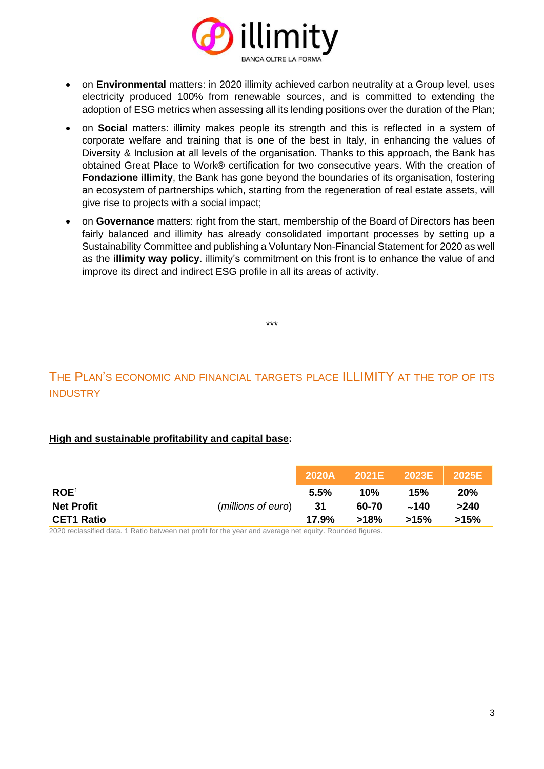

- on **Environmental** matters: in 2020 illimity achieved carbon neutrality at a Group level, uses electricity produced 100% from renewable sources, and is committed to extending the adoption of ESG metrics when assessing all its lending positions over the duration of the Plan;
- on **Social** matters: illimity makes people its strength and this is reflected in a system of corporate welfare and training that is one of the best in Italy, in enhancing the values of Diversity & Inclusion at all levels of the organisation. Thanks to this approach, the Bank has obtained Great Place to Work® certification for two consecutive years. With the creation of **Fondazione illimity**, the Bank has gone beyond the boundaries of its organisation, fostering an ecosystem of partnerships which, starting from the regeneration of real estate assets, will give rise to projects with a social impact;
- on **Governance** matters: right from the start, membership of the Board of Directors has been fairly balanced and illimity has already consolidated important processes by setting up a Sustainability Committee and publishing a Voluntary Non-Financial Statement for 2020 as well as the **illimity way policy**. illimity's commitment on this front is to enhance the value of and improve its direct and indirect ESG profile in all its areas of activity.

### THE PLAN'S ECONOMIC AND FINANCIAL TARGETS PLACE ILLIMITY AT THE TOP OF ITS **INDUSTRY**

\*\*\*

### **High and sustainable profitability and capital base:**

|                   |                    | 2020A | 2021E | $\sqrt{2023E}$ | 2025E |
|-------------------|--------------------|-------|-------|----------------|-------|
| ROE <sup>1</sup>  |                    | 5.5%  | 10%   | 15%            | 20%   |
| <b>Net Profit</b> | (millions of euro) | -31   | 60-70 | ~140           | >240  |
| <b>CET1 Ratio</b> |                    | 17.9% | >18%  | >15%           | >15%  |

2020 reclassified data. 1 Ratio between net profit for the year and average net equity. Rounded figures.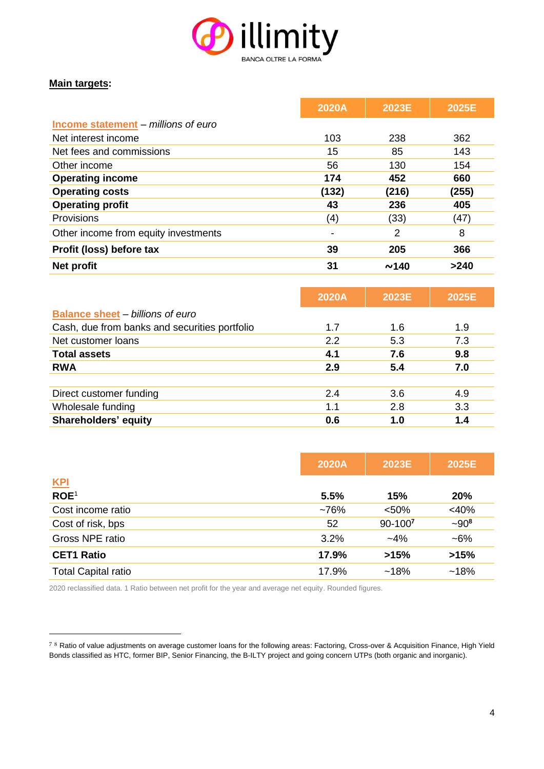

### **Main targets:**

|                                            | 2020A | 2023E | 2025E |
|--------------------------------------------|-------|-------|-------|
| <b>Income statement - millions of euro</b> |       |       |       |
| Net interest income                        | 103   | 238   | 362   |
| Net fees and commissions                   | 15    | 85    | 143   |
| Other income                               | 56    | 130   | 154   |
| <b>Operating income</b>                    | 174   | 452   | 660   |
| <b>Operating costs</b>                     | (132) | (216) | (255) |
| <b>Operating profit</b>                    | 43    | 236   | 405   |
| Provisions                                 | (4)   | (33)  | (47)  |
| Other income from equity investments       |       | 2     | 8     |
| Profit (loss) before tax                   | 39    | 205   | 366   |
| Net profit                                 | 31    | ~140  | >240  |

|                                               | 2020A | 2023E | 2025E |
|-----------------------------------------------|-------|-------|-------|
| <b>Balance sheet - billions of euro</b>       |       |       |       |
| Cash, due from banks and securities portfolio | 1.7   | 1.6   | 1.9   |
| Net customer loans                            | 2.2   | 5.3   | 7.3   |
| <b>Total assets</b>                           | 4.1   | 7.6   | 9.8   |
| <b>RWA</b>                                    | 2.9   | 5.4   | 7.0   |
|                                               |       |       |       |
| Direct customer funding                       | 2.4   | 3.6   | 4.9   |
| Wholesale funding                             | 1.1   | 2.8   | 3.3   |
| <b>Shareholders' equity</b>                   | 0.6   | 1.0   | 1.4   |

|                            | 2020A   | 2023E   | 2025E     |
|----------------------------|---------|---------|-----------|
| <b>KPI</b>                 |         |         |           |
| ROE <sup>1</sup>           | 5.5%    | 15%     | 20%       |
| Cost income ratio          | $~10\%$ | < 50%   | $<$ 40%   |
| Cost of risk, bps          | 52      | 90-1007 | $-90^{8}$ |
| Gross NPE ratio            | 3.2%    | $-4%$   | $-6%$     |
| <b>CET1 Ratio</b>          | 17.9%   | >15%    | >15%      |
| <b>Total Capital ratio</b> | 17.9%   | ~18%    | $~18\%$   |

2020 reclassified data. 1 Ratio between net profit for the year and average net equity. Rounded figures.

<sup>78</sup> Ratio of value adjustments on average customer loans for the following areas: Factoring, Cross-over & Acquisition Finance, High Yield Bonds classified as HTC, former BIP, Senior Financing, the B-ILTY project and going concern UTPs (both organic and inorganic).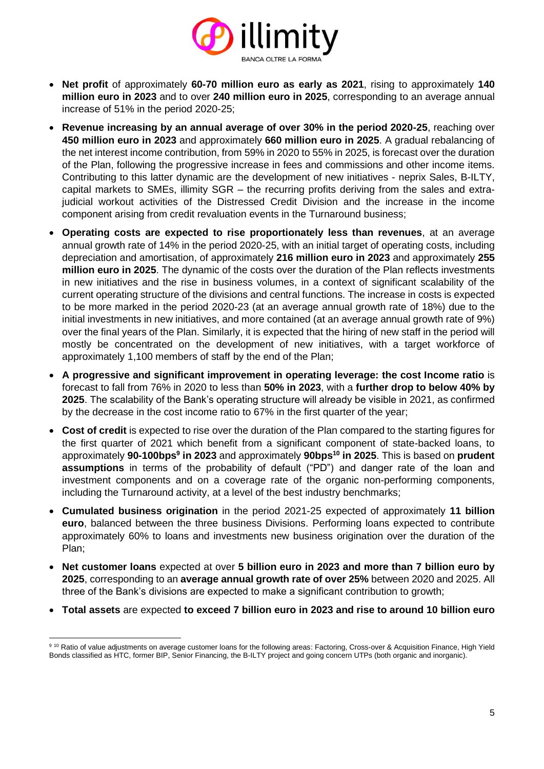

- **Net profit** of approximately **60-70 million euro as early as 2021**, rising to approximately **140 million euro in 2023** and to over **240 million euro in 2025**, corresponding to an average annual increase of 51% in the period 2020-25;
- **Revenue increasing by an annual average of over 30% in the period 2020-25**, reaching over **450 million euro in 2023** and approximately **660 million euro in 2025**. A gradual rebalancing of the net interest income contribution, from 59% in 2020 to 55% in 2025, is forecast over the duration of the Plan, following the progressive increase in fees and commissions and other income items. Contributing to this latter dynamic are the development of new initiatives - neprix Sales, B-ILTY, capital markets to SMEs, illimity SGR – the recurring profits deriving from the sales and extrajudicial workout activities of the Distressed Credit Division and the increase in the income component arising from credit revaluation events in the Turnaround business;
- **Operating costs are expected to rise proportionately less than revenues**, at an average annual growth rate of 14% in the period 2020-25, with an initial target of operating costs, including depreciation and amortisation, of approximately **216 million euro in 2023** and approximately **255 million euro in 2025**. The dynamic of the costs over the duration of the Plan reflects investments in new initiatives and the rise in business volumes, in a context of significant scalability of the current operating structure of the divisions and central functions. The increase in costs is expected to be more marked in the period 2020-23 (at an average annual growth rate of 18%) due to the initial investments in new initiatives, and more contained (at an average annual growth rate of 9%) over the final years of the Plan. Similarly, it is expected that the hiring of new staff in the period will mostly be concentrated on the development of new initiatives, with a target workforce of approximately 1,100 members of staff by the end of the Plan;
- **A progressive and significant improvement in operating leverage: the cost Income ratio** is forecast to fall from 76% in 2020 to less than **50% in 2023**, with a **further drop to below 40% by 2025**. The scalability of the Bank's operating structure will already be visible in 2021, as confirmed by the decrease in the cost income ratio to 67% in the first quarter of the year;
- **Cost of credit** is expected to rise over the duration of the Plan compared to the starting figures for the first quarter of 2021 which benefit from a significant component of state-backed loans, to approximately **90-100bps<sup>9</sup> in 2023** and approximately **90bps<sup>10</sup> in 2025**. This is based on **prudent assumptions** in terms of the probability of default ("PD") and danger rate of the loan and investment components and on a coverage rate of the organic non-performing components, including the Turnaround activity, at a level of the best industry benchmarks;
- **Cumulated business origination** in the period 2021-25 expected of approximately **11 billion euro**, balanced between the three business Divisions. Performing loans expected to contribute approximately 60% to loans and investments new business origination over the duration of the Plan;
- **Net customer loans** expected at over **5 billion euro in 2023 and more than 7 billion euro by 2025**, corresponding to an **average annual growth rate of over 25%** between 2020 and 2025. All three of the Bank's divisions are expected to make a significant contribution to growth;
- **Total assets** are expected **to exceed 7 billion euro in 2023 and rise to around 10 billion euro**

<sup>9 10</sup> Ratio of value adjustments on average customer loans for the following areas: Factoring, Cross-over & Acquisition Finance, High Yield Bonds classified as HTC, former BIP, Senior Financing, the B-ILTY project and going concern UTPs (both organic and inorganic).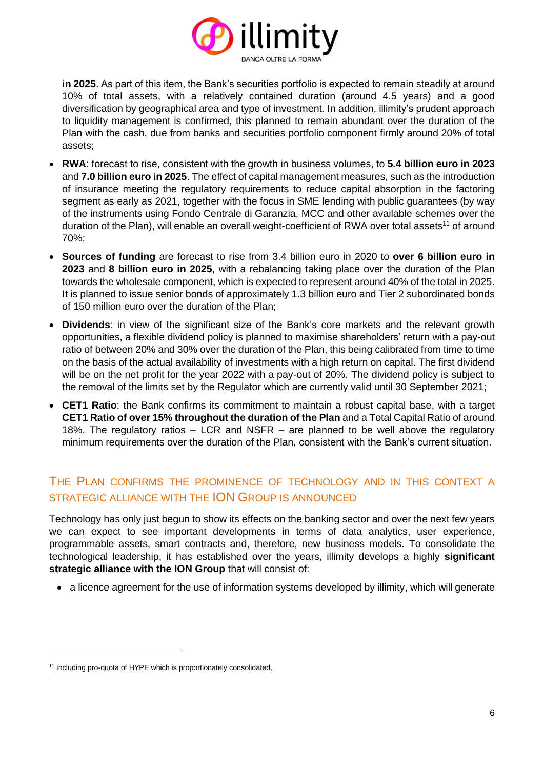

**in 2025**. As part of this item, the Bank's securities portfolio is expected to remain steadily at around 10% of total assets, with a relatively contained duration (around 4.5 years) and a good diversification by geographical area and type of investment. In addition, illimity's prudent approach to liquidity management is confirmed, this planned to remain abundant over the duration of the Plan with the cash, due from banks and securities portfolio component firmly around 20% of total assets;

- **RWA**: forecast to rise, consistent with the growth in business volumes, to **5.4 billion euro in 2023** and **7.0 billion euro in 2025**. The effect of capital management measures, such as the introduction of insurance meeting the regulatory requirements to reduce capital absorption in the factoring segment as early as 2021, together with the focus in SME lending with public guarantees (by way of the instruments using Fondo Centrale di Garanzia, MCC and other available schemes over the duration of the Plan), will enable an overall weight-coefficient of RWA over total assets<sup>11</sup> of around 70%;
- **Sources of funding** are forecast to rise from 3.4 billion euro in 2020 to **over 6 billion euro in 2023** and **8 billion euro in 2025**, with a rebalancing taking place over the duration of the Plan towards the wholesale component, which is expected to represent around 40% of the total in 2025. It is planned to issue senior bonds of approximately 1.3 billion euro and Tier 2 subordinated bonds of 150 million euro over the duration of the Plan;
- **Dividends**: in view of the significant size of the Bank's core markets and the relevant growth opportunities, a flexible dividend policy is planned to maximise shareholders' return with a pay-out ratio of between 20% and 30% over the duration of the Plan, this being calibrated from time to time on the basis of the actual availability of investments with a high return on capital. The first dividend will be on the net profit for the year 2022 with a pay-out of 20%. The dividend policy is subject to the removal of the limits set by the Regulator which are currently valid until 30 September 2021;
- **CET1 Ratio**: the Bank confirms its commitment to maintain a robust capital base, with a target **CET1 Ratio of over 15% throughout the duration of the Plan** and a Total Capital Ratio of around 18%. The regulatory ratios – LCR and NSFR – are planned to be well above the regulatory minimum requirements over the duration of the Plan, consistent with the Bank's current situation.

### THE PLAN CONFIRMS THE PROMINENCE OF TECHNOLOGY AND IN THIS CONTEXT A STRATEGIC ALLIANCE WITH THE ION GROUP IS ANNOUNCED

Technology has only just begun to show its effects on the banking sector and over the next few years we can expect to see important developments in terms of data analytics, user experience, programmable assets, smart contracts and, therefore, new business models. To consolidate the technological leadership, it has established over the years, illimity develops a highly **significant strategic alliance with the ION Group** that will consist of:

• a licence agreement for the use of information systems developed by illimity, which will generate

<sup>&</sup>lt;sup>11</sup> Including pro-quota of HYPE which is proportionately consolidated.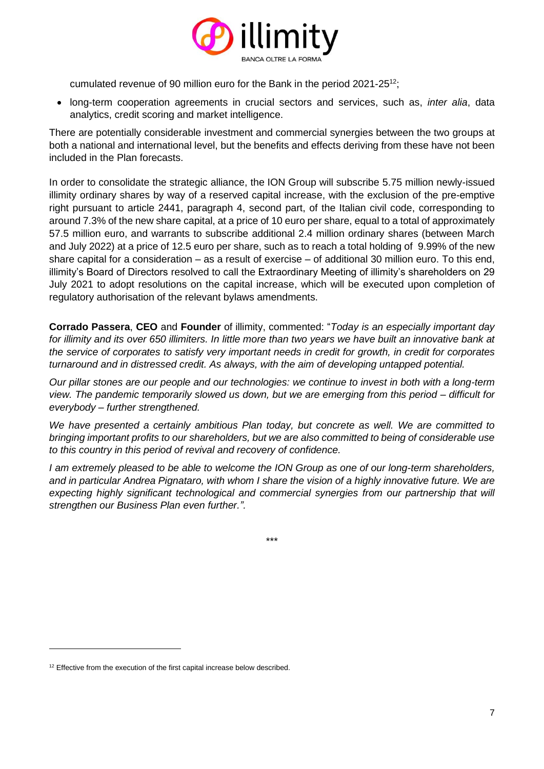

cumulated revenue of 90 million euro for the Bank in the period 2021-25<sup>12</sup>;

• long-term cooperation agreements in crucial sectors and services, such as, *inter alia*, data analytics, credit scoring and market intelligence.

There are potentially considerable investment and commercial synergies between the two groups at both a national and international level, but the benefits and effects deriving from these have not been included in the Plan forecasts.

In order to consolidate the strategic alliance, the ION Group will subscribe 5.75 million newly-issued illimity ordinary shares by way of a reserved capital increase, with the exclusion of the pre-emptive right pursuant to article 2441, paragraph 4, second part, of the Italian civil code, corresponding to around 7.3% of the new share capital, at a price of 10 euro per share, equal to a total of approximately 57.5 million euro, and warrants to subscribe additional 2.4 million ordinary shares (between March and July 2022) at a price of 12.5 euro per share, such as to reach a total holding of 9.99% of the new share capital for a consideration – as a result of exercise – of additional 30 million euro. To this end, illimity's Board of Directors resolved to call the Extraordinary Meeting of illimity's shareholders on 29 July 2021 to adopt resolutions on the capital increase, which will be executed upon completion of regulatory authorisation of the relevant bylaws amendments.

**Corrado Passera**, **CEO** and **Founder** of illimity, commented: "*Today is an especially important day for illimity and its over 650 illimiters. In little more than two years we have built an innovative bank at the service of corporates to satisfy very important needs in credit for growth, in credit for corporates turnaround and in distressed credit. As always, with the aim of developing untapped potential.*

*Our pillar stones are our people and our technologies: we continue to invest in both with a long-term view. The pandemic temporarily slowed us down, but we are emerging from this period – difficult for everybody – further strengthened.*

*We have presented a certainly ambitious Plan today, but concrete as well. We are committed to bringing important profits to our shareholders, but we are also committed to being of considerable use to this country in this period of revival and recovery of confidence.*

*I am extremely pleased to be able to welcome the ION Group as one of our long-term shareholders, and in particular Andrea Pignataro, with whom I share the vision of a highly innovative future. We are expecting highly significant technological and commercial synergies from our partnership that will strengthen our Business Plan even further.".*

\*\*\*

<sup>&</sup>lt;sup>12</sup> Effective from the execution of the first capital increase below described.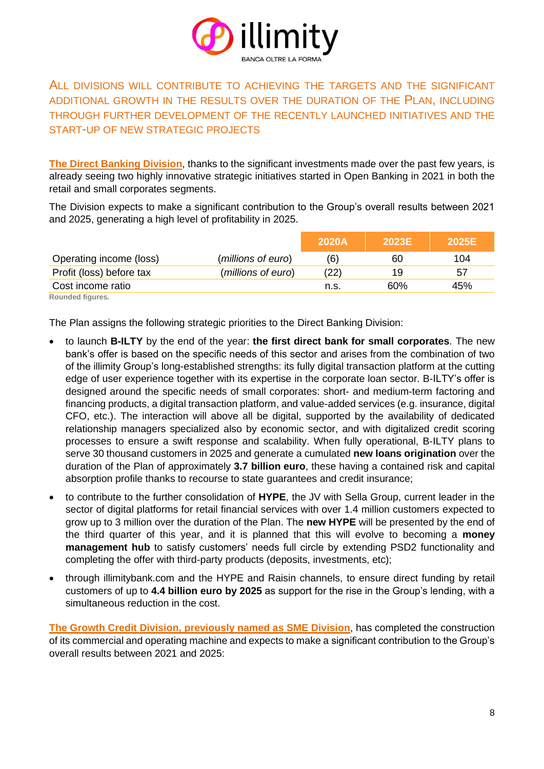

### ALL DIVISIONS WILL CONTRIBUTE TO ACHIEVING THE TARGETS AND THE SIGNIFICANT ADDITIONAL GROWTH IN THE RESULTS OVER THE DURATION OF THE PLAN, INCLUDING THROUGH FURTHER DEVELOPMENT OF THE RECENTLY LAUNCHED INITIATIVES AND THE START-UP OF NEW STRATEGIC PROJECTS

**The Direct Banking Division**, thanks to the significant investments made over the past few years, is already seeing two highly innovative strategic initiatives started in Open Banking in 2021 in both the retail and small corporates segments.

The Division expects to make a significant contribution to the Group's overall results between 2021 and 2025, generating a high level of profitability in 2025.

|                               |                    | 2020A | 2023E | 2025E |
|-------------------------------|--------------------|-------|-------|-------|
| Operating income (loss)       | (millions of euro) | (6)   | 60    | 104   |
| Profit (loss) before tax      | (millions of euro) | (22)  | 19    | 57    |
| Cost income ratio             |                    | n.s.  | 60%   | 45%   |
| Florence of a childhood and a |                    |       |       |       |

**Rounded figures.**

The Plan assigns the following strategic priorities to the Direct Banking Division:

- to launch **B-ILTY** by the end of the year: **the first direct bank for small corporates**. The new bank's offer is based on the specific needs of this sector and arises from the combination of two of the illimity Group's long-established strengths: its fully digital transaction platform at the cutting edge of user experience together with its expertise in the corporate loan sector. B-ILTY's offer is designed around the specific needs of small corporates: short- and medium-term factoring and financing products, a digital transaction platform, and value-added services (e.g. insurance, digital CFO, etc.). The interaction will above all be digital, supported by the availability of dedicated relationship managers specialized also by economic sector, and with digitalized credit scoring processes to ensure a swift response and scalability. When fully operational, B-ILTY plans to serve 30 thousand customers in 2025 and generate a cumulated **new loans origination** over the duration of the Plan of approximately **3.7 billion euro**, these having a contained risk and capital absorption profile thanks to recourse to state guarantees and credit insurance;
- to contribute to the further consolidation of **HYPE**, the JV with Sella Group, current leader in the sector of digital platforms for retail financial services with over 1.4 million customers expected to grow up to 3 million over the duration of the Plan. The **new HYPE** will be presented by the end of the third quarter of this year, and it is planned that this will evolve to becoming a **money management hub** to satisfy customers' needs full circle by extending PSD2 functionality and completing the offer with third-party products (deposits, investments, etc);
- through illimitybank.com and the HYPE and Raisin channels, to ensure direct funding by retail customers of up to **4.4 billion euro by 2025** as support for the rise in the Group's lending, with a simultaneous reduction in the cost.

**The Growth Credit Division, previously named as SME Division**, has completed the construction of its commercial and operating machine and expects to make a significant contribution to the Group's overall results between 2021 and 2025: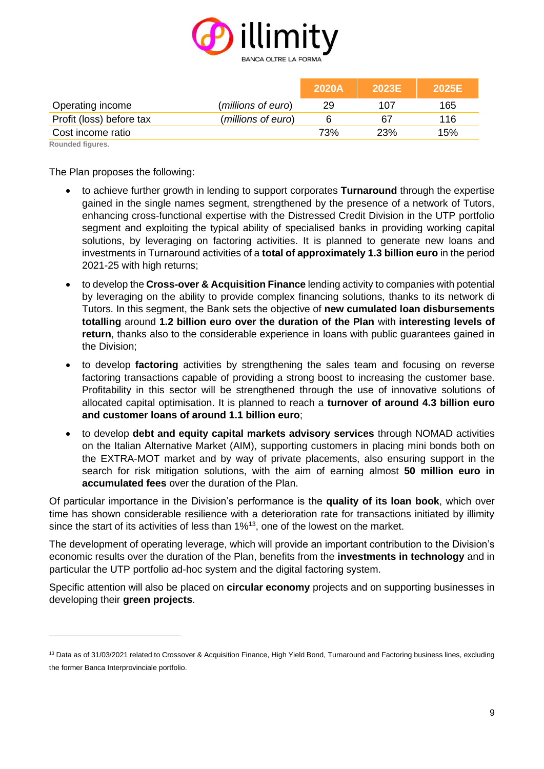

|                          |                    | 2020A | <b>2023E</b> | 2025E |
|--------------------------|--------------------|-------|--------------|-------|
| Operating income         | (millions of euro) | 29    | 107          | 165   |
| Profit (loss) before tax | (millions of euro) |       | 67           | 116   |
| Cost income ratio        |                    | 73%   | 23%          | 15%   |

**Rounded figures.**

The Plan proposes the following:

- to achieve further growth in lending to support corporates **Turnaround** through the expertise gained in the single names segment, strengthened by the presence of a network of Tutors, enhancing cross-functional expertise with the Distressed Credit Division in the UTP portfolio segment and exploiting the typical ability of specialised banks in providing working capital solutions, by leveraging on factoring activities. It is planned to generate new loans and investments in Turnaround activities of a **total of approximately 1.3 billion euro** in the period 2021-25 with high returns;
- to develop the **Cross-over & Acquisition Finance** lending activity to companies with potential by leveraging on the ability to provide complex financing solutions, thanks to its network di Tutors. In this segment, the Bank sets the objective of **new cumulated loan disbursements totalling** around **1.2 billion euro over the duration of the Plan** with **interesting levels of return**, thanks also to the considerable experience in loans with public guarantees gained in the Division;
- to develop **factoring** activities by strengthening the sales team and focusing on reverse factoring transactions capable of providing a strong boost to increasing the customer base. Profitability in this sector will be strengthened through the use of innovative solutions of allocated capital optimisation. It is planned to reach a **turnover of around 4.3 billion euro and customer loans of around 1.1 billion euro**;
- to develop **debt and equity capital markets advisory services** through NOMAD activities on the Italian Alternative Market (AIM), supporting customers in placing mini bonds both on the EXTRA-MOT market and by way of private placements, also ensuring support in the search for risk mitigation solutions, with the aim of earning almost **50 million euro in accumulated fees** over the duration of the Plan.

Of particular importance in the Division's performance is the **quality of its loan book**, which over time has shown considerable resilience with a deterioration rate for transactions initiated by illimity since the start of its activities of less than 1%<sup>13</sup>, one of the lowest on the market.

The development of operating leverage, which will provide an important contribution to the Division's economic results over the duration of the Plan, benefits from the **investments in technology** and in particular the UTP portfolio ad-hoc system and the digital factoring system.

Specific attention will also be placed on **circular economy** projects and on supporting businesses in developing their **green projects**.

<sup>&</sup>lt;sup>13</sup> Data as of 31/03/2021 related to Crossover & Acquisition Finance, High Yield Bond, Turnaround and Factoring business lines, excluding the former Banca Interprovinciale portfolio.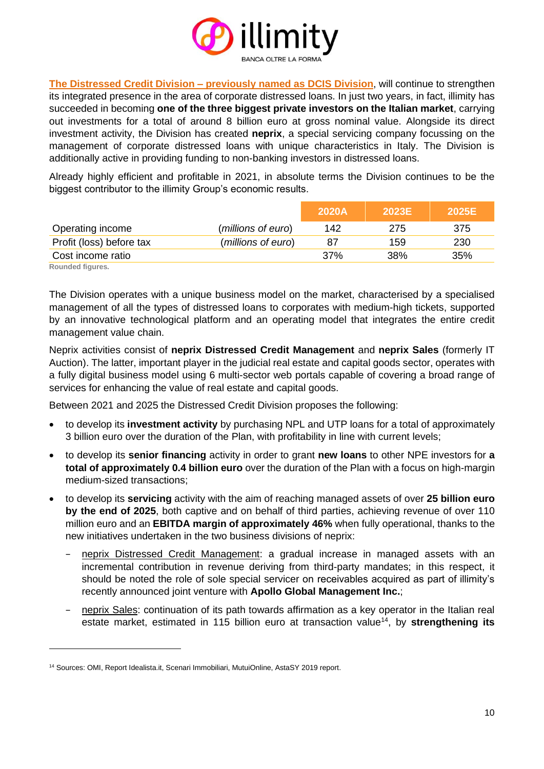

**The Distressed Credit Division – previously named as DCIS Division**, will continue to strengthen its integrated presence in the area of corporate distressed loans. In just two years, in fact, illimity has succeeded in becoming **one of the three biggest private investors on the Italian market**, carrying out investments for a total of around 8 billion euro at gross nominal value. Alongside its direct investment activity, the Division has created **neprix**, a special servicing company focussing on the management of corporate distressed loans with unique characteristics in Italy. The Division is additionally active in providing funding to non-banking investors in distressed loans.

Already highly efficient and profitable in 2021, in absolute terms the Division continues to be the biggest contributor to the illimity Group's economic results.

|                          |                    | 2020A | 2023E | 2025E |
|--------------------------|--------------------|-------|-------|-------|
| Operating income         | (millions of euro) | 142   | 275   | 375   |
| Profit (loss) before tax | (millions of euro) | 87    | 159   | 230   |
| Cost income ratio        |                    | 37%   | 38%   | 35%   |

**Rounded figures.**

The Division operates with a unique business model on the market, characterised by a specialised management of all the types of distressed loans to corporates with medium-high tickets, supported by an innovative technological platform and an operating model that integrates the entire credit management value chain.

Neprix activities consist of **neprix Distressed Credit Management** and **neprix Sales** (formerly IT Auction). The latter, important player in the judicial real estate and capital goods sector, operates with a fully digital business model using 6 multi-sector web portals capable of covering a broad range of services for enhancing the value of real estate and capital goods.

Between 2021 and 2025 the Distressed Credit Division proposes the following:

- to develop its **investment activity** by purchasing NPL and UTP loans for a total of approximately 3 billion euro over the duration of the Plan, with profitability in line with current levels;
- to develop its **senior financing** activity in order to grant **new loans** to other NPE investors for **a total of approximately 0.4 billion euro** over the duration of the Plan with a focus on high-margin medium-sized transactions;
- to develop its **servicing** activity with the aim of reaching managed assets of over **25 billion euro by the end of 2025**, both captive and on behalf of third parties, achieving revenue of over 110 million euro and an **EBITDA margin of approximately 46%** when fully operational, thanks to the new initiatives undertaken in the two business divisions of neprix:
	- neprix Distressed Credit Management: a gradual increase in managed assets with an incremental contribution in revenue deriving from third-party mandates; in this respect, it should be noted the role of sole special servicer on receivables acquired as part of illimity's recently announced joint venture with **Apollo Global Management Inc.**;
	- neprix Sales: continuation of its path towards affirmation as a key operator in the Italian real estate market, estimated in 115 billion euro at transaction value<sup>14</sup>, by strengthening its

<sup>14</sup> Sources: OMI, Report Idealista.it, Scenari Immobiliari, MutuiOnline, AstaSY 2019 report.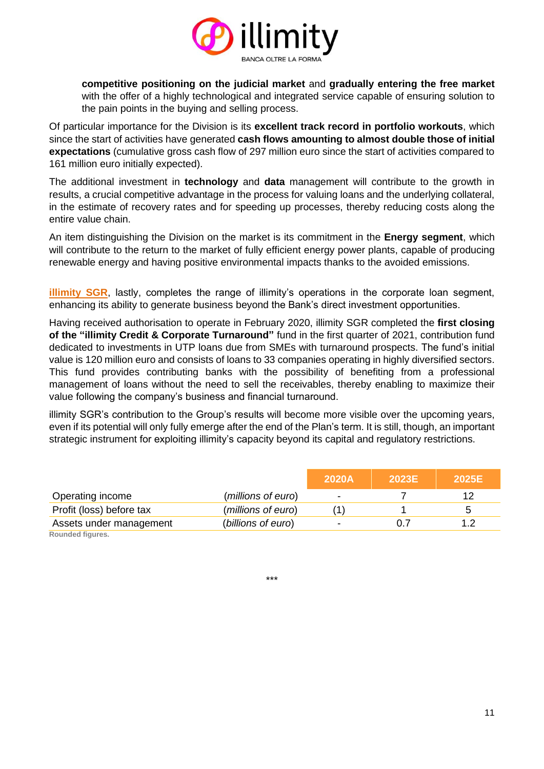

**competitive positioning on the judicial market** and **gradually entering the free market**  with the offer of a highly technological and integrated service capable of ensuring solution to the pain points in the buying and selling process.

Of particular importance for the Division is its **excellent track record in portfolio workouts**, which since the start of activities have generated **cash flows amounting to almost double those of initial expectations** (cumulative gross cash flow of 297 million euro since the start of activities compared to 161 million euro initially expected).

The additional investment in **technology** and **data** management will contribute to the growth in results, a crucial competitive advantage in the process for valuing loans and the underlying collateral, in the estimate of recovery rates and for speeding up processes, thereby reducing costs along the entire value chain.

An item distinguishing the Division on the market is its commitment in the **Energy segment**, which will contribute to the return to the market of fully efficient energy power plants, capable of producing renewable energy and having positive environmental impacts thanks to the avoided emissions.

**illimity SGR**, lastly, completes the range of illimity's operations in the corporate loan segment, enhancing its ability to generate business beyond the Bank's direct investment opportunities.

Having received authorisation to operate in February 2020, illimity SGR completed the **first closing of the "illimity Credit & Corporate Turnaround"** fund in the first quarter of 2021, contribution fund dedicated to investments in UTP loans due from SMEs with turnaround prospects. The fund's initial value is 120 million euro and consists of loans to 33 companies operating in highly diversified sectors. This fund provides contributing banks with the possibility of benefiting from a professional management of loans without the need to sell the receivables, thereby enabling to maximize their value following the company's business and financial turnaround.

illimity SGR's contribution to the Group's results will become more visible over the upcoming years, even if its potential will only fully emerge after the end of the Plan's term. It is still, though, an important strategic instrument for exploiting illimity's capacity beyond its capital and regulatory restrictions.

|                          |                    | <b>2020A</b> | 2023E | 2025E                |
|--------------------------|--------------------|--------------|-------|----------------------|
| Operating income         | (millions of euro) | -            |       | 12                   |
| Profit (loss) before tax | (millions of euro) |              |       | $\ddot{\phantom{1}}$ |
| Assets under management  | (billions of euro) |              | 0.7   | 19                   |
| Rounded figures.         |                    |              |       |                      |

\*\*\*